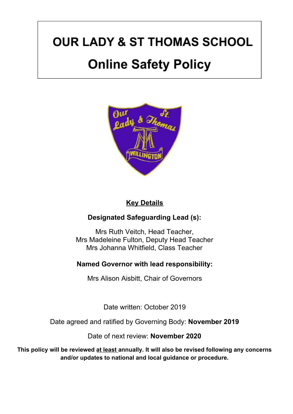# **OUR LADY & ST THOMAS SCHOOL**

# **Online Safety Policy**



### **Key Details**

### **Designated Safeguarding Lead (s):**

Mrs Ruth Veitch, Head Teacher, Mrs Madeleine Fulton, Deputy Head Teacher Mrs Johanna Whitfield, Class Teacher

### **Named Governor with lead responsibility:**

Mrs Alison Aisbitt, Chair of Governors

Date written: October 2019

Date agreed and ratified by Governing Body: **November 2019**

Date of next review: **November 2020**

**This policy will be reviewed at least annually. It will also be revised following any concerns and/or updates to national and local guidance or procedure.**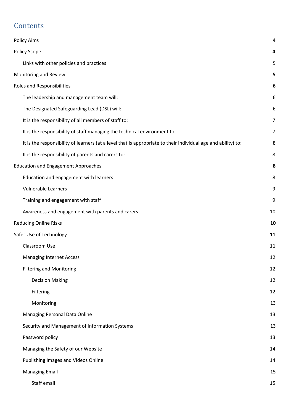# **Contents**

| <b>Policy Aims</b>                                                                                            | 4  |
|---------------------------------------------------------------------------------------------------------------|----|
| Policy Scope                                                                                                  | 4  |
| Links with other policies and practices                                                                       | 5  |
| Monitoring and Review                                                                                         | 5  |
| Roles and Responsibilities                                                                                    | 6  |
| The leadership and management team will:                                                                      | 6  |
| The Designated Safeguarding Lead (DSL) will:                                                                  | 6  |
| It is the responsibility of all members of staff to:                                                          | 7  |
| It is the responsibility of staff managing the technical environment to:                                      | 7  |
| It is the responsibility of learners (at a level that is appropriate to their individual age and ability) to: | 8  |
| It is the responsibility of parents and carers to:                                                            | 8  |
| <b>Education and Engagement Approaches</b>                                                                    | 8  |
| Education and engagement with learners                                                                        | 8  |
| <b>Vulnerable Learners</b>                                                                                    | 9  |
| Training and engagement with staff                                                                            | 9  |
| Awareness and engagement with parents and carers                                                              | 10 |
| <b>Reducing Online Risks</b>                                                                                  | 10 |
| Safer Use of Technology                                                                                       | 11 |
| Classroom Use                                                                                                 | 11 |
| <b>Managing Internet Access</b>                                                                               | 12 |
| <b>Filtering and Monitoring</b>                                                                               | 12 |
| <b>Decision Making</b>                                                                                        | 12 |
| Filtering                                                                                                     | 12 |
| Monitoring                                                                                                    | 13 |
| Managing Personal Data Online                                                                                 | 13 |
| Security and Management of Information Systems                                                                | 13 |
| Password policy                                                                                               | 13 |
| Managing the Safety of our Website                                                                            | 14 |
| Publishing Images and Videos Online                                                                           | 14 |
| <b>Managing Email</b>                                                                                         | 15 |
| Staff email                                                                                                   | 15 |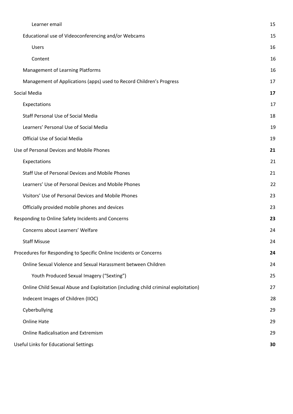| Learner email                                                                      | 15 |
|------------------------------------------------------------------------------------|----|
| Educational use of Videoconferencing and/or Webcams                                | 15 |
| <b>Users</b>                                                                       | 16 |
| Content                                                                            | 16 |
| Management of Learning Platforms                                                   | 16 |
| Management of Applications (apps) used to Record Children's Progress               | 17 |
| Social Media                                                                       | 17 |
| Expectations                                                                       | 17 |
| Staff Personal Use of Social Media                                                 | 18 |
| Learners' Personal Use of Social Media                                             | 19 |
| Official Use of Social Media                                                       | 19 |
| Use of Personal Devices and Mobile Phones                                          | 21 |
| Expectations                                                                       | 21 |
| Staff Use of Personal Devices and Mobile Phones                                    | 21 |
| Learners' Use of Personal Devices and Mobile Phones                                | 22 |
| Visitors' Use of Personal Devices and Mobile Phones                                | 23 |
| Officially provided mobile phones and devices                                      | 23 |
| Responding to Online Safety Incidents and Concerns                                 | 23 |
| Concerns about Learners' Welfare                                                   | 24 |
| <b>Staff Misuse</b>                                                                | 24 |
| Procedures for Responding to Specific Online Incidents or Concerns                 | 24 |
| Online Sexual Violence and Sexual Harassment between Children                      | 24 |
| Youth Produced Sexual Imagery ("Sexting")                                          | 25 |
| Online Child Sexual Abuse and Exploitation (including child criminal exploitation) | 27 |
| Indecent Images of Children (IIOC)                                                 | 28 |
| Cyberbullying                                                                      | 29 |
| <b>Online Hate</b>                                                                 | 29 |
| <b>Online Radicalisation and Extremism</b>                                         | 29 |
| Useful Links for Educational Settings                                              | 30 |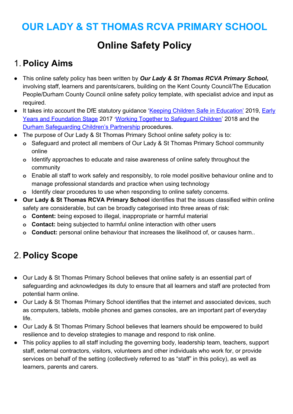# **OUR LADY & ST THOMAS RCVA PRIMARY SCHOOL**

# **Online Safety Policy**

# <span id="page-3-0"></span>1. **Policy Aims**

- **●** This online safety policy has been written by *Our Lady & St Thomas RCVA Primary School***,** involving staff, learners and parents/carers, building on the Kent County Council/The Education People/Durham County Council online safety policy template, with specialist advice and input as required.
- **•** It takes into account the DfE statutory guidance '[Keeping Children Safe in Education'](https://www.gov.uk/government/publications/keeping-children-safe-in-education--2) 2019, [Early](https://www.gov.uk/government/publications/early-years-foundation-stage-framework--2) [Years and Foundation Stage](https://www.gov.uk/government/publications/early-years-foundation-stage-framework--2) 2017 '[Working Together to Safeguard Children](https://www.gov.uk/government/publications/working-together-to-safeguard-children--2)' 2018 and the [Durham Safeguarding Children's Partnership](http://www.durham-scp.org.uk/whats-new/) procedures.
- **●** The purpose of Our Lady & St Thomas Primary School online safety policy is to:
	- **o** Safeguard and protect all members of Our Lady & St Thomas Primary School community online
	- **o** Identify approaches to educate and raise awareness of online safety throughout the community
	- **o** Enable all staff to work safely and responsibly, to role model positive behaviour online and to manage professional standards and practice when using technology
	- **o** Identify clear procedures to use when responding to online safety concerns.
- **● Our Lady & St Thomas RCVA Primary School** identifies that the issues classified within online safety are considerable, but can be broadly categorised into three areas of risk:
	- **o Content:** being exposed to illegal, inappropriate or harmful material
	- **o Contact:** being subjected to harmful online interaction with other users
	- **o Conduct:** personal online behaviour that increases the likelihood of, or causes harm..

# <span id="page-3-1"></span>2. **Policy Scope**

- **●** Our Lady & St Thomas Primary School believes that online safety is an essential part of safeguarding and acknowledges its duty to ensure that all learners and staff are protected from potential harm online.
- **●** Our Lady & St Thomas Primary School identifies that the internet and associated devices, such as computers, tablets, mobile phones and games consoles, are an important part of everyday life.
- **●** Our Lady & St Thomas Primary School believes that learners should be empowered to build resilience and to develop strategies to manage and respond to risk online.
- **●** This policy applies to all staff including the governing body, leadership team, teachers, support staff, external contractors, visitors, volunteers and other individuals who work for, or provide services on behalf of the setting (collectively referred to as "staff" in this policy), as well as learners, parents and carers.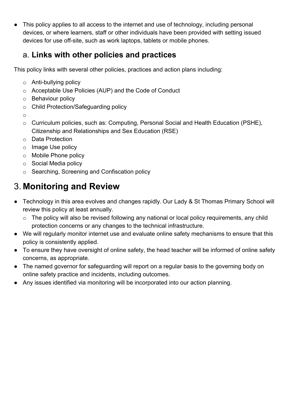**●** This policy applies to all access to the internet and use of technology, including personal devices, or where learners, staff or other individuals have been provided with setting issued devices for use off-site, such as work laptops, tablets or mobile phones.

# <span id="page-4-0"></span>a. **Links with other policies and practices**

This policy links with several other policies, practices and action plans including:

- o Anti-bullying policy
- o Acceptable Use Policies (AUP) and the Code of Conduct
- o Behaviour policy
- o Child Protection/Safeguarding policy
- o
- o Curriculum policies, such as: Computing, Personal Social and Health Education (PSHE), Citizenship and Relationships and Sex Education (RSE)
- o Data Protection
- o Image Use policy
- o Mobile Phone policy
- o Social Media policy
- o Searching, Screening and Confiscation policy

# <span id="page-4-1"></span>3. **Monitoring and Review**

- **●** Technology in this area evolves and changes rapidly. Our Lady & St Thomas Primary School will review this policy at least annually.
	- o The policy will also be revised following any national or local policy requirements, any child protection concerns or any changes to the technical infrastructure.
- **●** We will regularly monitor internet use and evaluate online safety mechanisms to ensure that this policy is consistently applied.
- **●** To ensure they have oversight of online safety, the head teacher will be informed of online safety concerns, as appropriate.
- **●** The named governor for safeguarding will report on a regular basis to the governing body on online safety practice and incidents, including outcomes.
- **●** Any issues identified via monitoring will be incorporated into our action planning.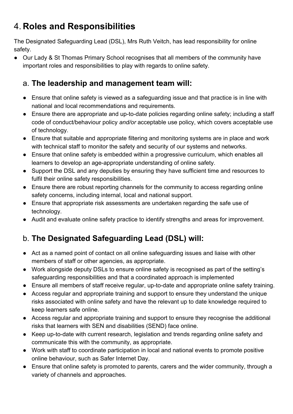# <span id="page-5-0"></span>4. **Roles and Responsibilities**

The Designated Safeguarding Lead (DSL), Mrs Ruth Veitch, has lead responsibility for online safety.

**●** Our Lady & St Thomas Primary School recognises that all members of the community have important roles and responsibilities to play with regards to online safety.

# <span id="page-5-1"></span>a. **The leadership and management team will:**

- **●** Ensure that online safety is viewed as a safeguarding issue and that practice is in line with national and local recommendations and requirements.
- **●** Ensure there are appropriate and up-to-date policies regarding online safety; including a staff code of conduct/behaviour policy *and/or* acceptable use policy, which covers acceptable use of technology.
- **●** Ensure that suitable and appropriate filtering and monitoring systems are in place and work with technical staff to monitor the safety and security of our systems and networks.
- **●** Ensure that online safety is embedded within a progressive curriculum, which enables all learners to develop an age-appropriate understanding of online safety.
- **●** Support the DSL and any deputies by ensuring they have sufficient time and resources to fulfil their online safety responsibilities.
- **●** Ensure there are robust reporting channels for the community to access regarding online safety concerns, including internal, local and national support.
- **●** Ensure that appropriate risk assessments are undertaken regarding the safe use of technology.
- **●** Audit and evaluate online safety practice to identify strengths and areas for improvement.

# <span id="page-5-2"></span>b. **The Designated Safeguarding Lead (DSL) will:**

- **●** Act as a named point of contact on all online safeguarding issues and liaise with other members of staff or other agencies, as appropriate.
- **●** Work alongside deputy DSLs to ensure online safety is recognised as part of the setting's safeguarding responsibilities and that a coordinated approach is implemented
- **●** Ensure all members of staff receive regular, up-to-date and appropriate online safety training.
- **●** Access regular and appropriate training and support to ensure they understand the unique risks associated with online safety and have the relevant up to date knowledge required to keep learners safe online.
- **●** Access regular and appropriate training and support to ensure they recognise the additional risks that learners with SEN and disabilities (SEND) face online.
- **●** Keep up-to-date with current research, legislation and trends regarding online safety and communicate this with the community, as appropriate.
- **●** Work with staff to coordinate participation in local and national events to promote positive online behaviour, such as Safer Internet Day.
- **●** Ensure that online safety is promoted to parents, carers and the wider community, through a variety of channels and approaches.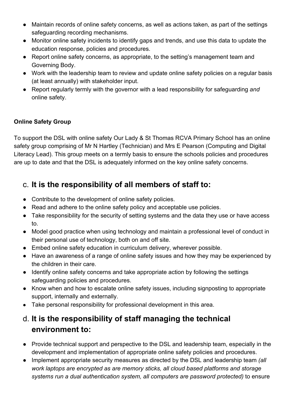- **●** Maintain records of online safety concerns, as well as actions taken, as part of the settings safeguarding recording mechanisms.
- **●** Monitor online safety incidents to identify gaps and trends, and use this data to update the education response, policies and procedures.
- **●** Report online safety concerns, as appropriate, to the setting's management team and Governing Body.
- **●** Work with the leadership team to review and update online safety policies on a regular basis (at least annually) with stakeholder input.
- **●** Report regularly termly with the governor with a lead responsibility for safeguarding *and* online safety.

#### **Online Safety Group**

To support the DSL with online safety Our Lady & St Thomas RCVA Primary School has an online safety group comprising of Mr N Hartley (Technician) and Mrs E Pearson (Computing and Digital Literacy Lead). This group meets on a termly basis to ensure the schools policies and procedures are up to date and that the DSL is adequately informed on the key online safety concerns.

# <span id="page-6-0"></span>c. **It is the responsibility of all members of staff to:**

- **●** Contribute to the development of online safety policies.
- **●** Read and adhere to the online safety policy and acceptable use policies.
- **●** Take responsibility for the security of setting systems and the data they use or have access to.
- **●** Model good practice when using technology and maintain a professional level of conduct in their personal use of technology, both on and off site.
- **●** Embed online safety education in curriculum delivery, wherever possible.
- **●** Have an awareness of a range of online safety issues and how they may be experienced by the children in their care.
- **●** Identify online safety concerns and take appropriate action by following the settings safeguarding policies and procedures.
- **●** Know when and how to escalate online safety issues, including signposting to appropriate support, internally and externally.
- **●** Take personal responsibility for professional development in this area.

# <span id="page-6-1"></span>d. **It is the responsibility of staff managing the technical environment to:**

- **●** Provide technical support and perspective to the DSL and leadership team, especially in the development and implementation of appropriate online safety policies and procedures.
- **●** Implement appropriate security measures as directed by the DSL and leadership team *(all work laptops are encrypted as are memory sticks, all cloud based platforms and storage systems run a dual authentication system, all computers are password protected)* to ensure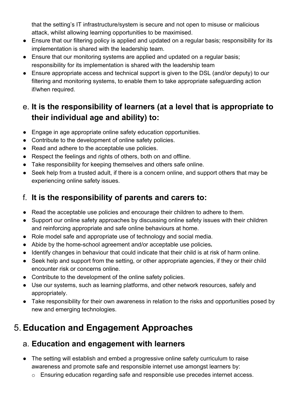that the setting's IT infrastructure/system is secure and not open to misuse or malicious attack, whilst allowing learning opportunities to be maximised.

- **●** Ensure that our filtering policy is applied and updated on a regular basis; responsibility for its implementation is shared with the leadership team.
- **●** Ensure that our monitoring systems are applied and updated on a regular basis; responsibility for its implementation is shared with the leadership team
- **●** Ensure appropriate access and technical support is given to the DSL (and/or deputy) to our filtering and monitoring systems, to enable them to take appropriate safeguarding action if/when required.

# <span id="page-7-0"></span>e. **It is the responsibility of learners (at a level that is appropriate to their individual age and ability) to:**

- **●** Engage in age appropriate online safety education opportunities.
- **●** Contribute to the development of online safety policies.
- **●** Read and adhere to the acceptable use policies.
- **●** Respect the feelings and rights of others, both on and offline.
- **●** Take responsibility for keeping themselves and others safe online.
- **●** Seek help from a trusted adult, if there is a concern online, and support others that may be experiencing online safety issues.

# <span id="page-7-1"></span>f. **It is the responsibility of parents and carers to:**

- **●** Read the acceptable use policies and encourage their children to adhere to them.
- **●** Support our online safety approaches by discussing online safety issues with their children and reinforcing appropriate and safe online behaviours at home.
- **●** Role model safe and appropriate use of technology and social media.
- **●** Abide by the home-school agreement and/or acceptable use policies*.*
- **●** Identify changes in behaviour that could indicate that their child is at risk of harm online.
- **●** Seek help and support from the setting, or other appropriate agencies, if they or their child encounter risk or concerns online.
- **●** Contribute to the development of the online safety policies.
- **●** Use our systems, such as learning platforms, and other network resources, safely and appropriately.
- Take responsibility for their own awareness in relation to the risks and opportunities posed by new and emerging technologies.

# <span id="page-7-2"></span>5. **Education and Engagement Approaches**

# <span id="page-7-3"></span>a. **Education and engagement with learners**

- **●** The setting will establish and embed a progressive online safety curriculum to raise awareness and promote safe and responsible internet use amongst learners by:
	- o Ensuring education regarding safe and responsible use precedes internet access.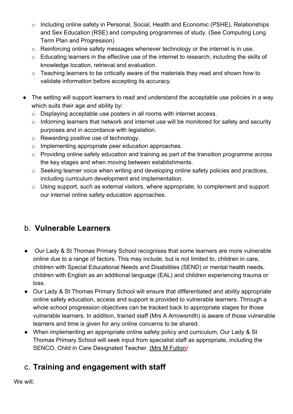- o Including online safety in Personal, Social, Health and Economic (PSHE), Relationships and Sex Education (RSE) and computing programmes of study. (See Computing Long Term Plan and Progression)
- o Reinforcing online safety messages whenever technology or the internet is in use.
- o Educating learners in the effective use of the internet to research; including the skills of knowledge location, retrieval and evaluation.
- o Teaching learners to be critically aware of the materials they read and shown how to validate information before accepting its accuracy.
- The setting will support learners to read and understand the acceptable use policies in a way which suits their age and ability by:
	- o Displaying acceptable use posters in all rooms with internet access.
	- o Informing learners that network and internet use will be monitored for safety and security purposes and in accordance with legislation.
	- o Rewarding positive use of technology.
	- o Implementing appropriate peer education approaches.
	- o Providing online safety education and training as part of the transition programme across the key stages and when moving between establishments.
	- o Seeking learner voice when writing and developing online safety policies and practices, including curriculum development and implementation.
	- o Using support, such as external visitors, where appropriate, to complement and support our internal online safety education approaches.

# <span id="page-8-0"></span>b. **Vulnerable Learners**

- **●** Our Lady & St Thomas Primary School recognises that some learners are more vulnerable online due to a range of factors. This may include, but is not limited to, children in care, children with Special Educational Needs and Disabilities (SEND) or mental health needs, children with English as an additional language (EAL) and children experiencing trauma or loss.
- **●** Our Lady & St Thomas Primary School will ensure that differentiated and ability appropriate online safety education, access and support is provided to vulnerable learners. Through a whole school progression objectives can be tracked back to appropriate stages for those vulnerable learners. In addition, trained staff (Mrs A Arrowsmith) is aware of those vulnerable learners and time is given for any online concerns to be shared.
- **●** When implementing an appropriate online safety policy and curriculum, Our Lady & St Thomas Primary School will seek input from specialist staff as appropriate, including the SENCO, Child in Care Designated Teacher. (Mrs M Fulton*)*

# <span id="page-8-1"></span>c. **Training and engagement with staff**

We will: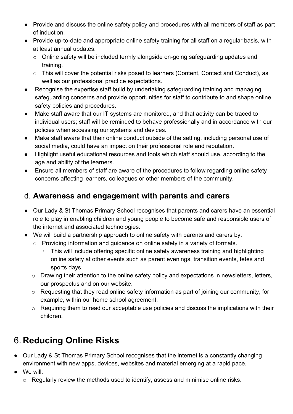- **●** Provide and discuss the online safety policy and procedures with all members of staff as part of induction.
- **●** Provide up-to-date and appropriate online safety training for all staff on a regular basis, with at least annual updates.
	- o Online safety will be included termly alongside on-going safeguarding updates and training.
	- o This will cover the potential risks posed to learners (Content, Contact and Conduct), as well as our professional practice expectations.
- **●** Recognise the expertise staff build by undertaking safeguarding training and managing safeguarding concerns and provide opportunities for staff to contribute to and shape online safety policies and procedures.
- **●** Make staff aware that our IT systems are monitored, and that activity can be traced to individual users; staff will be reminded to behave professionally and in accordance with our policies when accessing our systems and devices.
- **●** Make staff aware that their online conduct outside of the setting, including personal use of social media, could have an impact on their professional role and reputation.
- **●** Highlight useful educational resources and tools which staff should use, according to the age and ability of the learners.
- **●** Ensure all members of staff are aware of the procedures to follow regarding online safety concerns affecting learners, colleagues or other members of the community.

### <span id="page-9-0"></span>d. **Awareness and engagement with parents and carers**

- **●** Our Lady & St Thomas Primary School recognises that parents and carers have an essential role to play in enabling children and young people to become safe and responsible users of the internet and associated technologies.
- **●** We will build a partnership approach to online safety with parents and carers by:
	- o Providing information and guidance on online safety in a variety of formats.
		- This will include offering specific online safety awareness training and highlighting online safety at other events such as parent evenings, transition events, fetes and sports days.
	- o Drawing their attention to the online safety policy and expectations in newsletters, letters, our prospectus and on our website.
	- o Requesting that they read online safety information as part of joining our community, for example, within our home school agreement.
	- o Requiring them to read our acceptable use policies and discuss the implications with their children.

# <span id="page-9-1"></span>6. **Reducing Online Risks**

- **●** Our Lady & St Thomas Primary School recognises that the internet is a constantly changing environment with new apps, devices, websites and material emerging at a rapid pace.
- **●** We will:
	- o Regularly review the methods used to identify, assess and minimise online risks.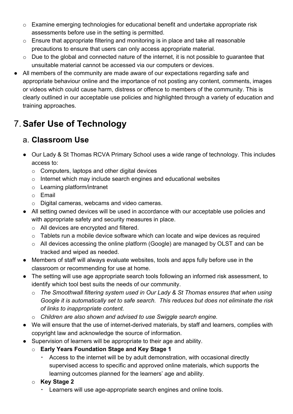- o Examine emerging technologies for educational benefit and undertake appropriate risk assessments before use in the setting is permitted.
- o Ensure that appropriate filtering and monitoring is in place and take all reasonable precautions to ensure that users can only access appropriate material.
- o Due to the global and connected nature of the internet, it is not possible to guarantee that unsuitable material cannot be accessed via our computers or devices.
- **●** All members of the community are made aware of our expectations regarding safe and appropriate behaviour online and the importance of not posting any content, comments, images or videos which could cause harm, distress or offence to members of the community. This is clearly outlined in our acceptable use policies and highlighted through a variety of education and training approaches.

# <span id="page-10-0"></span>7. **Safer Use of Technology**

# <span id="page-10-1"></span>a. **Classroom Use**

- **●** Our Lady & St Thomas RCVA Primary School uses a wide range of technology. This includes access to:
	- o Computers, laptops and other digital devices
	- o Internet which may include search engines and educational websites
	- o Learning platform/intranet
	- o Email
	- o Digital cameras, webcams and video cameras.
- **●** All setting owned devices will be used in accordance with our acceptable use policies and with appropriate safety and security measures in place.
	- o All devices are encrypted and filtered.
	- o Tablets run a mobile device software which can locate and wipe devices as required
	- o All devices accessing the online platform (Google) are managed by OLST and can be tracked and wiped as needed.
- **●** Members of staff will always evaluate websites, tools and apps fully before use in the classroom or recommending for use at home.
- **●** The setting will use age appropriate search tools following an informed risk assessment, to identify which tool best suits the needs of our community.
	- o *The Smoothwall filtering system used in Our Lady & St Thomas ensures that when using Google it is automatically set to safe search. This reduces but does not eliminate the risk of links to inappropriate content.*
	- o *Children are also shown and advised to use Swiggle search engine.*
- **●** We will ensure that the use of internet-derived materials, by staff and learners, complies with copyright law and acknowledge the source of information.
- **●** Supervision of learners will be appropriate to their age and ability.
	- o **Early Years Foundation Stage and Key Stage 1**
		- Access to the internet will be by adult demonstration, with occasional directly supervised access to specific and approved online materials, which supports the learning outcomes planned for the learners' age and ability.
	- o **Key Stage 2**
		- Learners will use age-appropriate search engines and online tools.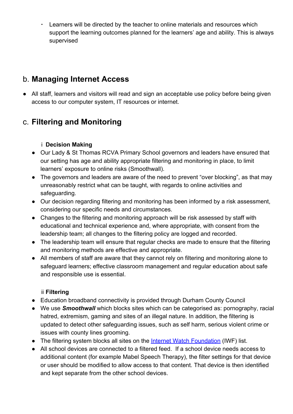▪ Learners will be directed by the teacher to online materials and resources which support the learning outcomes planned for the learners' age and ability. This is always supervised

### <span id="page-11-0"></span>b. **Managing Internet Access**

**●** All staff, learners and visitors will read and sign an acceptable use policy before being given access to our computer system, IT resources or internet.

# <span id="page-11-1"></span>c. **Filtering and Monitoring**

#### i **Decision Making**

- <span id="page-11-2"></span>**●** Our Lady & St Thomas RCVA Primary School governors and leaders have ensured that our setting has age and ability appropriate filtering and monitoring in place, to limit learners' exposure to online risks (Smoothwall).
- **●** The governors and leaders are aware of the need to prevent "over blocking", as that may unreasonably restrict what can be taught, with regards to online activities and safeguarding.
- **●** Our decision regarding filtering and monitoring has been informed by a risk assessment, considering our specific needs and circumstances.
- **●** Changes to the filtering and monitoring approach will be risk assessed by staff with educational and technical experience and, where appropriate, with consent from the leadership team; all changes to the filtering policy are logged and recorded.
- **●** The leadership team will ensure that regular checks are made to ensure that the filtering and monitoring methods are effective and appropriate.
- **●** All members of staff are aware that they cannot rely on filtering and monitoring alone to safeguard learners; effective classroom management and regular education about safe and responsible use is essential.

#### ii **Filtering**

- <span id="page-11-3"></span>**●** Education broadband connectivity is provided through Durham County Council
- **●** We use *Smoothwall* which blocks sites which can be categorised as: pornography, racial hatred, extremism, gaming and sites of an illegal nature. In addition, the filtering is updated to detect other safeguarding issues, such as self harm, serious violent crime or issues with county lines grooming.
- **•** The filtering system blocks all sites on the **Internet Watch Foundation** (IWF) list.
- **●** All school devices are connected to a filtered feed. If a school device needs access to additional content (for example Mabel Speech Therapy), the filter settings for that device or user should be modified to allow access to that content. That device is then identified and kept separate from the other school devices.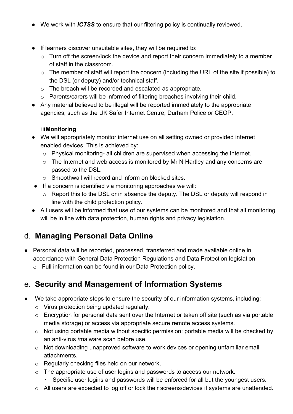- **●** We work with *ICTSS* to ensure that our filtering policy is continually reviewed.
- **●** If learners discover unsuitable sites, they will be required to:
	- $\circ$  Turn off the screen/lock the device and report their concern immediately to a member of staff in the classroom.
	- o The member of staff will report the concern (including the URL of the site if possible) to the DSL (or deputy) and/or technical staff.
	- o The breach will be recorded and escalated as appropriate.
	- o Parents/carers will be informed of filtering breaches involving their child.
- **●** Any material believed to be illegal will be reported immediately to the appropriate agencies, such as the UK Safer Internet Centre, Durham Police or CEOP.

#### iii**Monitoring**

- <span id="page-12-0"></span>**●** We will appropriately monitor internet use on all setting owned or provided internet enabled devices. This is achieved by:
	- o Physical monitoring- all children are supervised when accessing the internet.
	- o The Internet and web access is monitored by Mr N Hartley and any concerns are passed to the DSL.
	- o Smoothwall will record and inform on blocked sites.
- **●** If a concern is identified via monitoring approaches we will:
	- o Report this to the DSL or in absence the deputy. The DSL or deputy will respond in line with the child protection policy.
- **●** All users will be informed that use of our systems can be monitored and that all monitoring will be in line with data protection, human rights and privacy legislation.

### <span id="page-12-1"></span>d. **Managing Personal Data Online**

- **●** Personal data will be recorded, processed, transferred and made available online in accordance with General Data Protection Regulations and Data Protection legislation.
	- o Full information can be found in our Data Protection policy.

### <span id="page-12-2"></span>e. **Security and Management of Information Systems**

- **●** We take appropriate steps to ensure the security of our information systems, including:
	- o Virus protection being updated regularly.
	- $\circ$  Encryption for personal data sent over the Internet or taken off site (such as via portable media storage) or access via appropriate secure remote access systems.
	- o Not using portable media without specific permission; portable media will be checked by an anti-virus /malware scan before use.
	- o Not downloading unapproved software to work devices or opening unfamiliar email attachments.
	- o Regularly checking files held on our network,
	- o The appropriate use of user logins and passwords to access our network.
		- Specific user logins and passwords will be enforced for all but the youngest users.
	- o All users are expected to log off or lock their screens/devices if systems are unattended.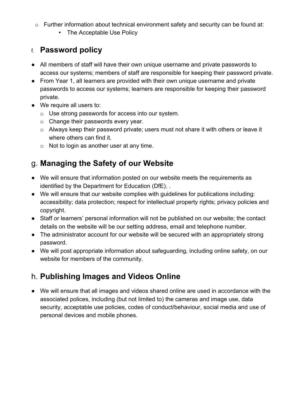- o Further information about technical environment safety and security can be found at:
	- The Acceptable Use Policy

### <span id="page-13-0"></span>f. **Password policy**

- **●** All members of staff will have their own unique username and private passwords to access our systems; members of staff are responsible for keeping their password private.
- **●** From Year 1, all learners are provided with their own unique username and private passwords to access our systems; learners are responsible for keeping their password private.
- **●** We require all users to:
	- o Use strong passwords for access into our system.
	- o Change their passwords every year.
	- $\circ$  Always keep their password private; users must not share it with others or leave it where others can find it.
	- $\circ$  Not to login as another user at any time.

# <span id="page-13-1"></span>g. **Managing the Safety of our Website**

- **●** We will ensure that information posted on our website meets the requirements as identified by the Department for Education (DfE). .
- **●** We will ensure that our website complies with guidelines for publications including: accessibility; data protection; respect for intellectual property rights; privacy policies and copyright.
- **●** Staff or learners' personal information will not be published on our website; the contact details on the website will be our setting address, email and telephone number.
- **●** The administrator account for our website will be secured with an appropriately strong password.
- **●** We will post appropriate information about safeguarding, including online safety, on our website for members of the community.

# <span id="page-13-2"></span>h. **Publishing Images and Videos Online**

**●** We will ensure that all images and videos shared online are used in accordance with the associated polices, including (but not limited to) the cameras and image use, data security, acceptable use policies, codes of conduct/behaviour, social media and use of personal devices and mobile phones.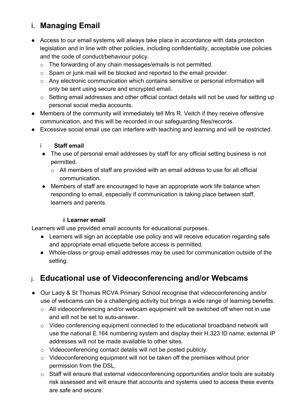# <span id="page-14-0"></span>i. **Managing Email**

- **●** Access to our email systems will always take place in accordance with data protection legislation and in line with other policies, including confidentiality, acceptable use policies and the code of conduct/behaviour policy.
	- o The forwarding of any chain messages/emails is not permitted.
	- o Spam or junk mail will be blocked and reported to the email provider.
	- o Any electronic communication which contains sensitive or personal information will only be sent using secure and encrypted email.
	- o Setting email addresses and other official contact details will not be used for setting up personal social media accounts.
- **●** Members of the community will immediately tell Mrs R. Veitch if they receive offensive communication, and this will be recorded in our safeguarding files/records.
- <span id="page-14-1"></span>**●** Excessive social email use can interfere with teaching and learning and will be restricted.

#### i **Staff email**

- **●** The use of personal email addresses by staff for any official setting business is not permitted.
	- $\circ$  All members of staff are provided with an email address to use for all official communication.
- **●** Members of staff are encouraged to have an appropriate work life balance when responding to email, especially if communication is taking place between staff, learners and parents.

#### ii **Learner email**

<span id="page-14-2"></span>Learners will use provided email accounts for educational purposes.

- **●** Learners will sign an acceptable use policy and will receive education regarding safe and appropriate email etiquette before access is permitted.
- **●** Whole-class or group email addresses may be used for communication outside of the setting.

# <span id="page-14-3"></span>j. **Educational use of Videoconferencing and/or Webcams**

- **●** Our Lady & St Thomas RCVA Primary School recognise that videoconferencing and/or use of webcams can be a challenging activity but brings a wide range of learning benefits.
	- o All videoconferencing and/or webcam equipment will be switched off when not in use and will not be set to auto-answer.
	- o Video conferencing equipment connected to the educational broadband network will use the national E.164 numbering system and display their H.323 ID name; external IP addresses will not be made available to other sites.
	- o Videoconferencing contact details will not be posted publicly.
	- o Videoconferencing equipment will not be taken off the premises without prior permission from the DSL.
	- o Staff will ensure that external videoconferencing opportunities and/or tools are suitably risk assessed and will ensure that accounts and systems used to access these events are safe and secure.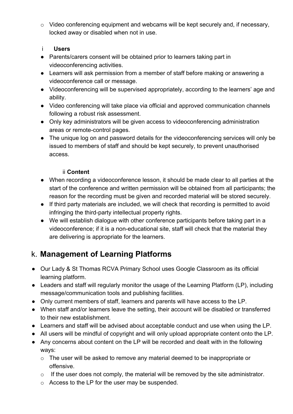- o Video conferencing equipment and webcams will be kept securely and, if necessary, locked away or disabled when not in use.
- <span id="page-15-0"></span>i **Users**
- **●** Parents/carers consent will be obtained prior to learners taking part in videoconferencing activities.
- **●** Learners will ask permission from a member of staff before making or answering a videoconference call or message.
- **●** Videoconferencing will be supervised appropriately, according to the learners' age and ability.
- **●** Video conferencing will take place via official and approved communication channels following a robust risk assessment.
- **●** Only key administrators will be given access to videoconferencing administration areas or remote-control pages.
- **●** The unique log on and password details for the videoconferencing services will only be issued to members of staff and should be kept securely, to prevent unauthorised access.

#### ii **Content**

- <span id="page-15-1"></span>● When recording a videoconference lesson, it should be made clear to all parties at the start of the conference and written permission will be obtained from all participants; the reason for the recording must be given and recorded material will be stored securely.
- If third party materials are included, we will check that recording is permitted to avoid infringing the third-party intellectual property rights.
- We will establish dialogue with other conference participants before taking part in a videoconference; if it is a non-educational site, staff will check that the material they are delivering is appropriate for the learners.

# <span id="page-15-2"></span>k. **Management of Learning Platforms**

- **●** Our Lady & St Thomas RCVA Primary School uses Google Classroom as its official learning platform.
- **●** Leaders and staff will regularly monitor the usage of the Learning Platform (LP), including message/communication tools and publishing facilities.
- **●** Only current members of staff, learners and parents will have access to the LP.
- **●** When staff and/or learners leave the setting, their account will be disabled or transferred to their new establishment.
- **●** Learners and staff will be advised about acceptable conduct and use when using the LP.
- **●** All users will be mindful of copyright and will only upload appropriate content onto the LP.
- Any concerns about content on the LP will be recorded and dealt with in the following ways:
	- o The user will be asked to remove any material deemed to be inappropriate or offensive.
	- o If the user does not comply, the material will be removed by the site administrator.
	- o Access to the LP for the user may be suspended.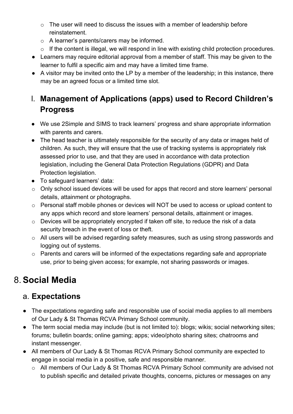- $\circ$  The user will need to discuss the issues with a member of leadership before reinstatement.
- o A learner's parents/carers may be informed.
- o If the content is illegal, we will respond in line with existing child protection procedures.
- Learners may require editorial approval from a member of staff. This may be given to the learner to fulfil a specific aim and may have a limited time frame.
- A visitor may be invited onto the LP by a member of the leadership; in this instance, there may be an agreed focus or a limited time slot.

# <span id="page-16-0"></span>l. **Management of Applications (apps) used to Record Children's Progress**

- **●** We use 2Simple and SIMS to track learners' progress and share appropriate information with parents and carers.
- **●** The head teacher is ultimately responsible for the security of any data or images held of children. As such, they will ensure that the use of tracking systems is appropriately risk assessed prior to use, and that they are used in accordance with data protection legislation, including the General Data Protection Regulations (GDPR) and Data Protection legislation.
- **●** To safeguard learners' data:
- o Only school issued devices will be used for apps that record and store learners' personal details, attainment or photographs.
- o Personal staff mobile phones or devices will NOT be used to access or upload content to any apps which record and store learners' personal details, attainment or images.
- o Devices will be appropriately encrypted if taken off site, to reduce the risk of a data security breach in the event of loss or theft.
- o All users will be advised regarding safety measures, such as using strong passwords and logging out of systems.
- o Parents and carers will be informed of the expectations regarding safe and appropriate use, prior to being given access; for example, not sharing passwords or images.

# <span id="page-16-1"></span>8. **Social Media**

# <span id="page-16-2"></span>a. **Expectations**

- **●** The expectations regarding safe and responsible use of social media applies to all members of Our Lady & St Thomas RCVA Primary School community.
- **●** The term social media may include (but is not limited to): blogs; wikis; social networking sites; forums; bulletin boards; online gaming; apps; video/photo sharing sites; chatrooms and instant messenger.
- **●** All members of Our Lady & St Thomas RCVA Primary School community are expected to engage in social media in a positive, safe and responsible manner.
	- o All members of Our Lady & St Thomas RCVA Primary School community are advised not to publish specific and detailed private thoughts, concerns, pictures or messages on any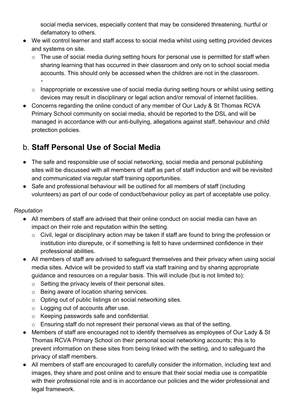social media services, especially content that may be considered threatening, hurtful or defamatory to others.

- **●** We will control learner and staff access to social media whilst using setting provided devices and systems on site.
	- o The use of social media during setting hours for personal use is permitted for staff when sharing learning that has occurred in their classroom and only on to school social media accounts. This should only be accessed when the children are not in the classroom. ▪
	- o Inappropriate or excessive use of social media during setting hours or whilst using setting devices may result in disciplinary or legal action and/or removal of internet facilities.
- **●** Concerns regarding the online conduct of any member of Our Lady & St Thomas RCVA Primary School community on social media, should be reported to the DSL and will be managed in accordance with our anti-bullying, allegations against staff, behaviour and child protection policies.

# <span id="page-17-0"></span>b. **Staff Personal Use of Social Media**

- **●** The safe and responsible use of social networking, social media and personal publishing sites will be discussed with all members of staff as part of staff induction and will be revisited and communicated via regular staff training opportunities.
- **●** Safe and professional behaviour will be outlined for all members of staff (including volunteers) as part of our code of conduct/behaviour policy as part of acceptable use policy.

#### *Reputation*

- **●** All members of staff are advised that their online conduct on social media can have an impact on their role and reputation within the setting.
	- o Civil, legal or disciplinary action may be taken if staff are found to bring the profession or institution into disrepute, or if something is felt to have undermined confidence in their professional abilities.
- **●** All members of staff are advised to safeguard themselves and their privacy when using social media sites. Advice will be provided to staff via staff training and by sharing appropriate guidance and resources on a regular basis. This will include (but is not limited to):
	- o Setting the privacy levels of their personal sites.
	- o Being aware of location sharing services.
	- o Opting out of public listings on social networking sites.
	- $\circ$  Logging out of accounts after use.
	- o Keeping passwords safe and confidential.
	- o Ensuring staff do not represent their personal views as that of the setting.
- **●** Members of staff are encouraged not to identify themselves as employees of Our Lady & St Thomas RCVA Primary School on their personal social networking accounts; this is to prevent information on these sites from being linked with the setting, and to safeguard the privacy of staff members.
- **●** All members of staff are encouraged to carefully consider the information, including text and images, they share and post online and to ensure that their social media use is compatible with their professional role and is in accordance our policies and the wider professional and legal framework.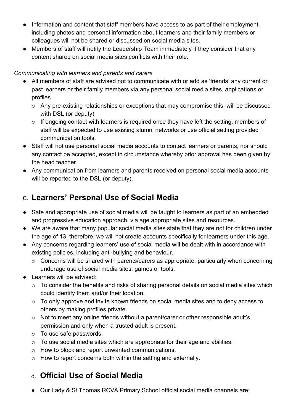- **●** Information and content that staff members have access to as part of their employment, including photos and personal information about learners and their family members or colleagues will not be shared or discussed on social media sites.
- **●** Members of staff will notify the Leadership Team immediately if they consider that any content shared on social media sites conflicts with their role.

#### *Communicating with learners and parents and carers*

- **●** All members of staff are advised not to communicate with or add as 'friends' any current or past learners or their family members via any personal social media sites, applications or profiles.
	- o Any pre-existing relationships or exceptions that may compromise this, will be discussed with DSL (or deputy)
	- o If ongoing contact with learners is required once they have left the setting, members of staff will be expected to use existing alumni networks or use official setting provided communication tools.
- **●** Staff will not use personal social media accounts to contact learners or parents, nor should any contact be accepted, except in circumstance whereby prior approval has been given by the head teacher*.*
- **●** Any communication from learners and parents received on personal social media accounts will be reported to the DSL (or deputy).

# <span id="page-18-0"></span>c. **Learners' Personal Use of Social Media**

- **●** Safe and appropriate use of social media will be taught to learners as part of an embedded and progressive education approach, via age appropriate sites and resources.
- **●** We are aware that many popular social media sites state that they are not for children under the age of 13, therefore, we will not create accounts specifically for learners under this age.
- **●** Any concerns regarding learners' use of social media will be dealt with in accordance with existing policies, including anti-bullying and behaviour.
	- o Concerns will be shared with parents/carers as appropriate, particularly when concerning underage use of social media sites, games or tools.
- **●** Learners will be advised:
	- o To consider the benefits and risks of sharing personal details on social media sites which could identify them and/or their location.
	- o To only approve and invite known friends on social media sites and to deny access to others by making profiles private.
	- o Not to meet any online friends without a parent/carer or other responsible adult's permission and only when a trusted adult is present.
	- o To use safe passwords.
	- o To use social media sites which are appropriate for their age and abilities.
	- o How to block and report unwanted communications.
	- o How to report concerns both within the setting and externally.

# <span id="page-18-1"></span>d. **Official Use of Social Media**

**●** Our Lady & St Thomas RCVA Primary School official social media channels are: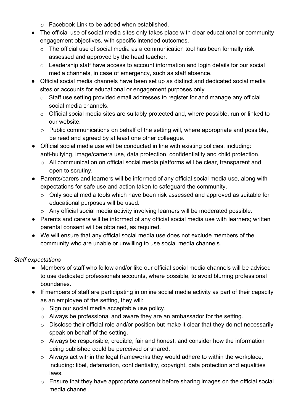- *o* Facebook Link to be added when established.
- **●** The official use of social media sites only takes place with clear educational or community engagement objectives, with specific intended outcomes.
	- $\circ$  The official use of social media as a communication tool has been formally risk assessed and approved by the head teacher.
	- o Leadership staff have access to account information and login details for our social media channels, in case of emergency, such as staff absence.
- **●** Official social media channels have been set up as distinct and dedicated social media sites or accounts for educational or engagement purposes only.
	- o Staff use setting provided email addresses to register for and manage any official social media channels.
	- o Official social media sites are suitably protected and, where possible, run or linked to our website.
	- o Public communications on behalf of the setting will, where appropriate and possible, be read and agreed by at least one other colleague.
- **●** Official social media use will be conducted in line with existing policies, including: anti-bullying, image/camera use, data protection, confidentiality and child protection.
	- o All communication on official social media platforms will be clear, transparent and open to scrutiny.
- **●** Parents/carers and learners will be informed of any official social media use, along with expectations for safe use and action taken to safeguard the community.
	- o Only social media tools which have been risk assessed and approved as suitable for educational purposes will be used.
	- o Any official social media activity involving learners will be moderated possible.
- **●** Parents and carers will be informed of any official social media use with learners; written parental consent will be obtained, as required.
- **●** We will ensure that any official social media use does not exclude members of the community who are unable or unwilling to use social media channels.

#### *Staff expectations*

- **●** Members of staff who follow and/or like our official social media channels will be advised to use dedicated professionals accounts, where possible, to avoid blurring professional boundaries.
- **●** If members of staff are participating in online social media activity as part of their capacity as an employee of the setting, they will:
	- o Sign our social media acceptable use policy.
	- o Always be professional and aware they are an ambassador for the setting.
	- o Disclose their official role and/or position but make it clear that they do not necessarily speak on behalf of the setting.
	- o Always be responsible, credible, fair and honest, and consider how the information being published could be perceived or shared.
	- o Always act within the legal frameworks they would adhere to within the workplace, including: libel, defamation, confidentiality, copyright, data protection and equalities laws.
	- o Ensure that they have appropriate consent before sharing images on the official social media channel.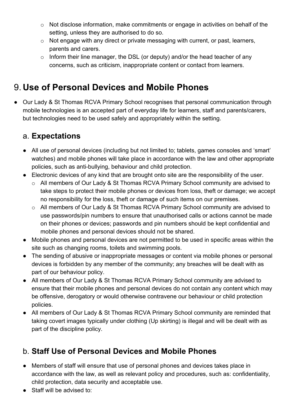- o Not disclose information, make commitments or engage in activities on behalf of the setting, unless they are authorised to do so.
- o Not engage with any direct or private messaging with current, or past, learners, parents and carers.
- $\circ$  Inform their line manager, the DSL (or deputy) and/or the head teacher of any concerns, such as criticism, inappropriate content or contact from learners.

# <span id="page-20-0"></span>9. **Use of Personal Devices and Mobile Phones**

**●** Our Lady & St Thomas RCVA Primary School recognises that personal communication through mobile technologies is an accepted part of everyday life for learners, staff and parents/carers, but technologies need to be used safely and appropriately within the setting.

# <span id="page-20-1"></span>a. **Expectations**

- **●** All use of personal devices (including but not limited to; tablets, games consoles and 'smart' watches) and mobile phones will take place in accordance with the law and other appropriate policies, such as anti-bullying, behaviour and child protection.
- **●** Electronic devices of any kind that are brought onto site are the responsibility of the user.
	- o All members of Our Lady & St Thomas RCVA Primary School community are advised to take steps to protect their mobile phones or devices from loss, theft or damage; we accept no responsibility for the loss, theft or damage of such items on our premises.
	- o All members of Our Lady & St Thomas RCVA Primary School community are advised to use passwords/pin numbers to ensure that unauthorised calls or actions cannot be made on their phones or devices; passwords and pin numbers should be kept confidential and mobile phones and personal devices should not be shared.
- **●** Mobile phones and personal devices are not permitted to be used in specific areas within the site such as changing rooms, toilets and swimming pools.
- **●** The sending of abusive or inappropriate messages or content via mobile phones or personal devices is forbidden by any member of the community; any breaches will be dealt with as part of our behaviour policy.
- **●** All members of Our Lady & St Thomas RCVA Primary School community are advised to ensure that their mobile phones and personal devices do not contain any content which may be offensive, derogatory or would otherwise contravene our behaviour or child protection policies.
- **●** All members of Our Lady & St Thomas RCVA Primary School community are reminded that taking covert images typically under clothing (Up skirting) is illegal and will be dealt with as part of the discipline policy.

# <span id="page-20-2"></span>b. **Staff Use of Personal Devices and Mobile Phones**

- **●** Members of staff will ensure that use of personal phones and devices takes place in accordance with the law, as well as relevant policy and procedures, such as: confidentiality, child protection, data security and acceptable use.
- **●** Staff will be advised to: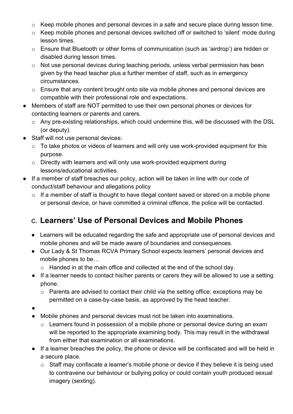- o Keep mobile phones and personal devices in a safe and secure place during lesson time.
- o Keep mobile phones and personal devices switched off or switched to 'silent' mode during lesson times.
- o Ensure that Bluetooth or other forms of communication (such as 'airdrop') are hidden or disabled during lesson times.
- o Not use personal devices during teaching periods, unless verbal permission has been given by the head teacher plus a further member of staff, such as in emergency circumstances.
- o Ensure that any content brought onto site via mobile phones and personal devices are compatible with their professional role and expectations.
- **●** Members of staff are NOT permitted to use their own personal phones or devices for contacting learners or parents and carers.
	- o Any pre-existing relationships, which could undermine this, will be discussed with the DSL (or deputy).
- **●** Staff will not use personal devices:
	- o To take photos or videos of learners and will only use work-provided equipment for this purpose.
	- o Directly with learners and will only use work-provided equipment during lessons/educational activities.
- **●** If a member of staff breaches our policy, action will be taken in line with our code of conduct/staff behaviour and allegations policy
	- o If a member of staff is thought to have illegal content saved or stored on a mobile phone or personal device, or have committed a criminal offence, the police will be contacted.

# <span id="page-21-0"></span>c. **Learners' Use of Personal Devices and Mobile Phones**

- **●** Learners will be educated regarding the safe and appropriate use of personal devices and mobile phones and will be made aware of boundaries and consequences.
- **●** Our Lady & St Thomas RCVA Primary School expects learners' personal devices and mobile phones to be…
	- o Handed in at the main office and collected at the end of the school day.
- **●** If a learner needs to contact his/her parents or carers they will be allowed to use a setting phone.
	- o Parents are advised to contact their child via the setting office; exceptions may be permitted on a case-by-case basis, as approved by the head teacher.
- **●**
- **●** Mobile phones and personal devices must not be taken into examinations.
	- o Learners found in possession of a mobile phone or personal device during an exam will be reported to the appropriate examining body. This may result in the withdrawal from either that examination or all examinations.
- **●** If a learner breaches the policy, the phone or device will be confiscated and will be held in a secure place.
	- o Staff may confiscate a learner's mobile phone or device if they believe it is being used to contravene our behaviour or bullying policy or could contain youth produced sexual imagery (sexting).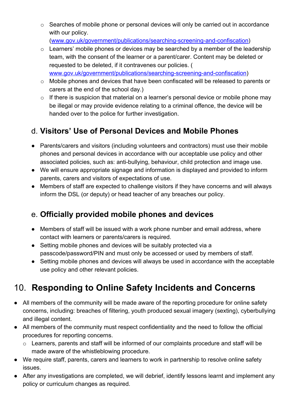o Searches of mobile phone or personal devices will only be carried out in accordance with our policy.

[\(www.gov.uk/government/publications/searching-screening-and-confiscation\)](http://www.gov.uk/government/publications/searching-screening-and-confiscation)

- o Learners' mobile phones or devices may be searched by a member of the leadership team, with the consent of the learner or a parent/carer. Content may be deleted or requested to be deleted, if it contravenes our policies. ( [www.gov.uk/government/publications/searching-screening-and-confiscation](http://www.gov.uk/government/publications/searching-screening-and-confiscation))
- o Mobile phones and devices that have been confiscated will be released to parents or carers at the end of the school day.)
- o If there is suspicion that material on a learner's personal device or mobile phone may be illegal or may provide evidence relating to a criminal offence, the device will be handed over to the police for further investigation.

# <span id="page-22-0"></span>d. **Visitors' Use of Personal Devices and Mobile Phones**

- **●** Parents/carers and visitors (including volunteers and contractors) must use their mobile phones and personal devices in accordance with our acceptable use policy and other associated policies, such as: anti-bullying, behaviour, child protection and image use.
- **●** We will ensure appropriate signage and information is displayed and provided to inform parents, carers and visitors of expectations of use.
- **●** Members of staff are expected to challenge visitors if they have concerns and will always inform the DSL (or deputy) or head teacher of any breaches our policy.

# <span id="page-22-1"></span>e. **Officially provided mobile phones and devices**

- **●** Members of staff will be issued with a work phone number and email address, where contact with learners or parents/carers is required.
- **●** Setting mobile phones and devices will be suitably protected via a passcode/password/PIN and must only be accessed or used by members of staff.
- **●** Setting mobile phones and devices will always be used in accordance with the acceptable use policy and other relevant policies.

# <span id="page-22-2"></span>10. **Responding to Online Safety Incidents and Concerns**

- **●** All members of the community will be made aware of the reporting procedure for online safety concerns, including: breaches of filtering, youth produced sexual imagery (sexting), cyberbullying and illegal content.
- **●** All members of the community must respect confidentiality and the need to follow the official procedures for reporting concerns.
	- o Learners, parents and staff will be informed of our complaints procedure and staff will be made aware of the whistleblowing procedure.
- **●** We require staff, parents, carers and learners to work in partnership to resolve online safety issues.
- After any investigations are completed, we will debrief, identify lessons learnt and implement any policy or curriculum changes as required.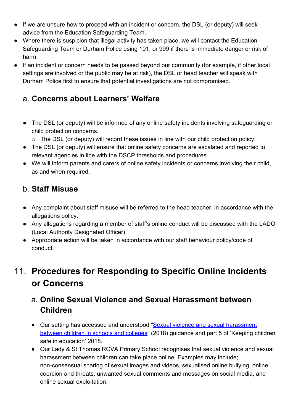- **●** If we are unsure how to proceed with an incident or concern, the DSL (or deputy) will seek advice from the Education Safeguarding Team.
- **●** Where there is suspicion that illegal activity has taken place, we will contact the Education Safeguarding Team or Durham Police using 101, or 999 if there is immediate danger or risk of harm.
- **●** If an incident or concern needs to be passed beyond our community (for example, if other local settings are involved or the public may be at risk), the DSL or head teacher will speak with Durham Police first to ensure that potential investigations are not compromised.

### <span id="page-23-0"></span>a. **Concerns about Learners' Welfare**

- **●** The DSL (or deputy) will be informed of any online safety incidents involving safeguarding or child protection concerns.
	- o The DSL (or deputy) will record these issues in line with our child protection policy.
- **●** The DSL (or deputy) will ensure that online safety concerns are escalated and reported to relevant agencies in line with the DSCP thresholds and procedures.
- **●** We will inform parents and carers of online safety incidents or concerns involving their child, as and when required.

### <span id="page-23-1"></span>b. **Staff Misuse**

- **●** Any complaint about staff misuse will be referred to the head teacher, in accordance with the allegations policy.
- **●** Any allegations regarding a member of staff's online conduct will be discussed with the LADO (Local Authority Designated Officer).
- **●** Appropriate action will be taken in accordance with our staff behaviour policy/code of conduct.

# <span id="page-23-2"></span>11. **Procedures for Responding to Specific Online Incidents or Concerns**

# <span id="page-23-3"></span>a. **Online Sexual Violence and Sexual Harassment between Children**

- Our setting has accessed and understood "[Sexual violence and sexual harassment](https://www.gov.uk/government/publications/sexual-violence-and-sexual-harassment-between-children-in-schools-and-colleges) [between children in schools and colleges"](https://www.gov.uk/government/publications/sexual-violence-and-sexual-harassment-between-children-in-schools-and-colleges) (2018) guidance and part 5 of 'Keeping children safe in education' 2018.
- Our Lady & St Thomas RCVA Primary School recognises that sexual violence and sexual harassment between children can take place online. Examples may include; non-consensual sharing of sexual images and videos, sexualised online bullying, online coercion and threats, unwanted sexual comments and messages on social media, and online sexual exploitation.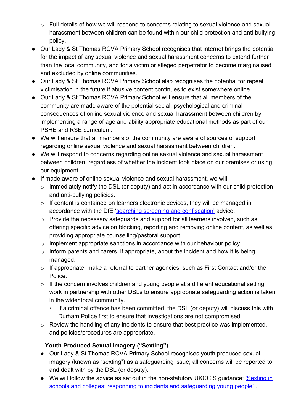- o Full details of how we will respond to concerns relating to sexual violence and sexual harassment between children can be found within our child protection and anti-bullying policy.
- Our Lady & St Thomas RCVA Primary School recognises that internet brings the potential for the impact of any sexual violence and sexual harassment concerns to extend further than the local community, and for a victim or alleged perpetrator to become marginalised and excluded by online communities.
- Our Lady & St Thomas RCVA Primary School also recognises the potential for repeat victimisation in the future if abusive content continues to exist somewhere online.
- Our Lady & St Thomas RCVA Primary School will ensure that all members of the community are made aware of the potential social, psychological and criminal consequences of online sexual violence and sexual harassment between children by implementing a range of age and ability appropriate educational methods as part of our PSHE and RSE curriculum.
- We will ensure that all members of the community are aware of sources of support regarding online sexual violence and sexual harassment between children.
- We will respond to concerns regarding online sexual violence and sexual harassment between children, regardless of whether the incident took place on our premises or using our equipment.
- If made aware of online sexual violence and sexual harassment, we will:
	- o Immediately notify the DSL (or deputy) and act in accordance with our child protection and anti-bullying policies.
	- o If content is contained on learners electronic devices, they will be managed in accordance with the DfE ['searching screening and confiscation'](https://www.gov.uk/government/publications/searching-screening-and-confiscation) advice.
	- o Provide the necessary safeguards and support for all learners involved, such as offering specific advice on blocking, reporting and removing online content, as well as providing appropriate counselling/pastoral support.
	- o Implement appropriate sanctions in accordance with our behaviour policy.
	- $\circ$  Inform parents and carers, if appropriate, about the incident and how it is being managed.
	- o If appropriate, make a referral to partner agencies, such as First Contact and/or the Police.
	- o If the concern involves children and young people at a different educational setting, work in partnership with other DSLs to ensure appropriate safeguarding action is taken in the wider local community.
		- If a criminal offence has been committed, the DSL (or deputy) will discuss this with Durham Police first to ensure that investigations are not compromised.
	- o Review the handling of any incidents to ensure that best practice was implemented, and policies/procedures are appropriate.

#### <span id="page-24-0"></span>i **Youth Produced Sexual Imagery ("Sexting")**

- **●** Our Lady & St Thomas RCVA Primary School recognises youth produced sexual imagery (known as "sexting") as a safeguarding issue; all concerns will be reported to and dealt with by the DSL (or deputy).
- We will follow the advice as set out in the non-statutory UKCCIS guidance: *['Sexting in](https://www.gov.uk/government/groups/uk-council-for-child-internet-safety-ukccis)* [schools and colleges: responding to incidents and safeguarding young people'](https://www.gov.uk/government/groups/uk-council-for-child-internet-safety-ukccis).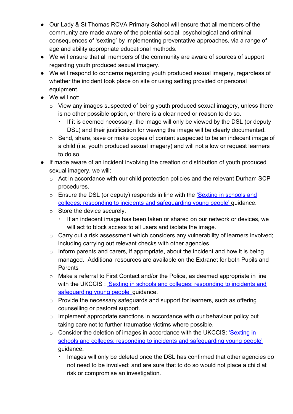- **●** Our Lady & St Thomas RCVA Primary School will ensure that all members of the community are made aware of the potential social, psychological and criminal consequences of 'sexting' by implementing preventative approaches, via a range of age and ability appropriate educational methods.
- **●** We will ensure that all members of the community are aware of sources of support regarding youth produced sexual imagery.
- **●** We will respond to concerns regarding youth produced sexual imagery, regardless of whether the incident took place on site or using setting provided or personal equipment.
- **●** We will not:
	- o View any images suspected of being youth produced sexual imagery, unless there is no other possible option, or there is a clear need or reason to do so.
		- If it is deemed necessary, the image will only be viewed by the DSL (or deputy DSL) and their justification for viewing the image will be clearly documented.
	- o Send, share, save or make copies of content suspected to be an indecent image of a child (i.e. youth produced sexual imagery) and will not allow or request learners to do so.
- **●** If made aware of an incident involving the creation or distribution of youth produced sexual imagery, we will:
	- o Act in accordance with our child protection policies and the relevant Durham SCP procedures.
	- o Ensure the DSL (or deputy) responds in line with the ['Sexting in schools and](https://www.gov.uk/government/groups/uk-council-for-child-internet-safety-ukccis) [colleges: responding to incidents and safeguarding young people'](https://www.gov.uk/government/groups/uk-council-for-child-internet-safety-ukccis) guidance.
	- o Store the device securely.
		- If an indecent image has been taken or shared on our network or devices, we will act to block access to all users and isolate the image.
	- o Carry out a risk assessment which considers any vulnerability of learners involved; including carrying out relevant checks with other agencies.
	- $\circ$  Inform parents and carers, if appropriate, about the incident and how it is being managed. Additional resources are available on the Extranet for both Pupils and Parents
	- o Make a referral to First Contact and/or the Police, as deemed appropriate in line with the UKCCIS : ['Sexting in schools and colleges: responding to incidents and](https://www.gov.uk/government/groups/uk-council-for-child-internet-safety-ukccis) [safeguarding young people'](https://www.gov.uk/government/groups/uk-council-for-child-internet-safety-ukccis) guidance.
	- o Provide the necessary safeguards and support for learners, such as offering counselling or pastoral support.
	- $\circ$  Implement appropriate sanctions in accordance with our behaviour policy but taking care not to further traumatise victims where possible.
	- o Consider the deletion of images in accordance with the UKCCIS: *Sexting in* [schools and colleges: responding to incidents and safeguarding young people'](https://www.gov.uk/government/groups/uk-council-for-child-internet-safety-ukccis) guidance.
		- Images will only be deleted once the DSL has confirmed that other agencies do not need to be involved; and are sure that to do so would not place a child at risk or compromise an investigation.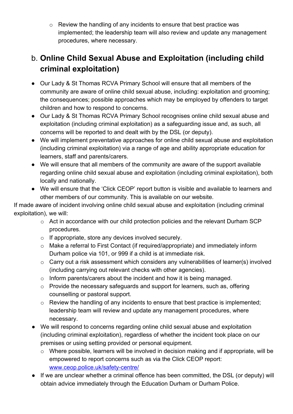o Review the handling of any incidents to ensure that best practice was implemented; the leadership team will also review and update any management procedures, where necessary.

# <span id="page-26-0"></span>b. **Online Child Sexual Abuse and Exploitation (including child criminal exploitation)**

- **●** Our Lady & St Thomas RCVA Primary School will ensure that all members of the community are aware of online child sexual abuse, including: exploitation and grooming; the consequences; possible approaches which may be employed by offenders to target children and how to respond to concerns.
- **●** Our Lady & St Thomas RCVA Primary School recognises online child sexual abuse and exploitation (including criminal exploitation) as a safeguarding issue and, as such, all concerns will be reported to and dealt with by the DSL (or deputy).
- **●** We will implement preventative approaches for online child sexual abuse and exploitation (including criminal exploitation) via a range of age and ability appropriate education for learners, staff and parents/carers.
- **●** We will ensure that all members of the community are aware of the support available regarding online child sexual abuse and exploitation (including criminal exploitation), both locally and nationally.
- **●** We will ensure that the 'Click CEOP' report button is visible and available to learners and other members of our community. This is available on our website.

If made aware of incident involving online child sexual abuse and exploitation (including criminal exploitation), we will:

- o Act in accordance with our child protection policies and the relevant Durham SCP procedures.
- o If appropriate, store any devices involved securely.
- o Make a referral to First Contact (if required/appropriate) and immediately inform Durham police via 101, or 999 if a child is at immediate risk.
- o Carry out a risk assessment which considers any vulnerabilities of learner(s) involved (including carrying out relevant checks with other agencies).
- o Inform parents/carers about the incident and how it is being managed.
- o Provide the necessary safeguards and support for learners, such as, offering counselling or pastoral support.
- o Review the handling of any incidents to ensure that best practice is implemented; leadership team will review and update any management procedures, where necessary.
- **●** We will respond to concerns regarding online child sexual abuse and exploitation (including criminal exploitation), regardless of whether the incident took place on our premises or using setting provided or personal equipment.
	- o Where possible, learners will be involved in decision making and if appropriate, will be empowered to report concerns such as via the Click CEOP report: [www.ceop.police.uk/safety-centre/](http://www.ceop.police.uk/safety-centre/)
- **●** If we are unclear whether a criminal offence has been committed, the DSL (or deputy) will obtain advice immediately through the Education Durham or Durham Police.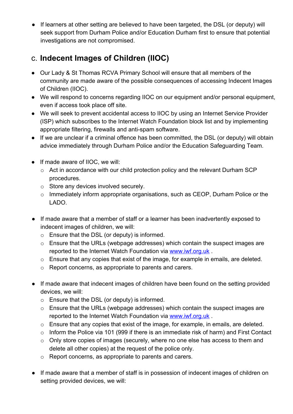**●** If learners at other setting are believed to have been targeted, the DSL (or deputy) will seek support from Durham Police and/or Education Durham first to ensure that potential investigations are not compromised.

# <span id="page-27-0"></span>c. **Indecent Images of Children (IIOC)**

- **●** Our Lady & St Thomas RCVA Primary School will ensure that all members of the community are made aware of the possible consequences of accessing Indecent Images of Children (IIOC).
- **●** We will respond to concerns regarding IIOC on our equipment and/or personal equipment, even if access took place off site.
- **●** We will seek to prevent accidental access to IIOC by using an Internet Service Provider (ISP) which subscribes to the Internet Watch Foundation block list and by implementing appropriate filtering, firewalls and anti-spam software.
- **●** If we are unclear if a criminal offence has been committed, the DSL (or deputy) will obtain advice immediately through Durham Police and/or the Education Safeguarding Team.
- **●** If made aware of IIOC, we will:
	- o Act in accordance with our child protection policy and the relevant Durham SCP procedures.
	- o Store any devices involved securely.
	- $\circ$  Immediately inform appropriate organisations, such as CEOP, Durham Police or the LADO.
- If made aware that a member of staff or a learner has been inadvertently exposed to indecent images of children, we will:
	- o Ensure that the DSL (or deputy) is informed.
	- o Ensure that the URLs (webpage addresses) which contain the suspect images are reported to the Internet Watch Foundation via [www.iwf.org.uk](https://www.iwf.org.uk/).
	- o Ensure that any copies that exist of the image, for example in emails, are deleted.
	- o Report concerns, as appropriate to parents and carers.
- **●** If made aware that indecent images of children have been found on the setting provided devices, we will:
	- o Ensure that the DSL (or deputy) is informed.
	- o Ensure that the URLs (webpage addresses) which contain the suspect images are reported to the Internet Watch Foundation via [www.iwf.org.uk](https://www.iwf.org.uk/).
	- o Ensure that any copies that exist of the image, for example, in emails, are deleted.
	- o Inform the Police via 101 (999 if there is an immediate risk of harm) and First Contact
	- o Only store copies of images (securely, where no one else has access to them and delete all other copies) at the request of the police only.
	- o Report concerns, as appropriate to parents and carers.
- **●** If made aware that a member of staff is in possession of indecent images of children on setting provided devices, we will: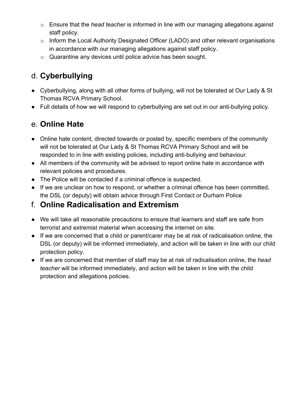- o Ensure that the *head teacher* is informed in line with our managing allegations against staff policy.
- o Inform the Local Authority Designated Officer (LADO) and other relevant organisations in accordance with our managing allegations against staff policy.
- o Quarantine any devices until police advice has been sought.

# <span id="page-28-0"></span>d. **Cyberbullying**

- **●** Cyberbullying, along with all other forms of bullying, will not be tolerated at Our Lady & St Thomas RCVA Primary School.
- **●** Full details of how we will respond to cyberbullying are set out in our anti-bullying policy.

# <span id="page-28-1"></span>e. **Online Hate**

- **●** Online hate content, directed towards or posted by, specific members of the community will not be tolerated at Our Lady & St Thomas RCVA Primary School and will be responded to in line with existing policies, including anti-bullying and behaviour.
- **●** All members of the community will be advised to report online hate in accordance with relevant policies and procedures.
- **●** The Police will be contacted if a criminal offence is suspected.
- **●** If we are unclear on how to respond, or whether a criminal offence has been committed, the DSL (or deputy) will obtain advice through First Contact or Durham Police

### <span id="page-28-2"></span>f. **Online Radicalisation and Extremism**

- **●** We will take all reasonable precautions to ensure that learners and staff are safe from terrorist and extremist material when accessing the internet on site.
- **●** If we are concerned that a child or parent/carer may be at risk of radicalisation online, the DSL (or deputy) will be informed immediately, and action will be taken in line with our child protection policy.
- **●** If we are concerned that member of staff may be at risk of radicalisation online, the *head teacher* will be informed immediately, and action will be taken in line with the child protection and allegations policies.